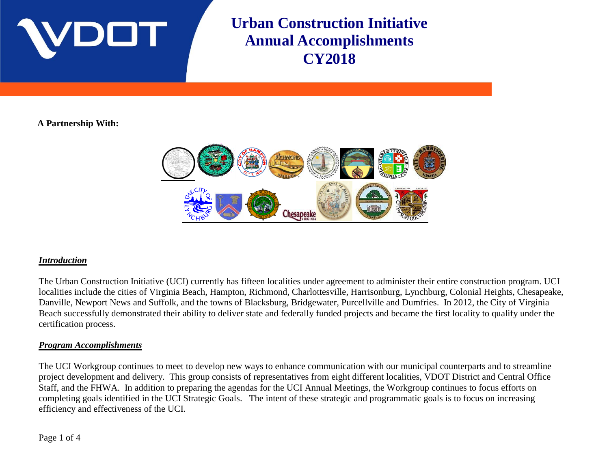

**Urban Construction Initiative Annual Accomplishments CY2018**

## **A Partnership With:**



#### *Introduction*

The Urban Construction Initiative (UCI) currently has fifteen localities under agreement to administer their entire construction program. UCI localities include the cities of Virginia Beach, Hampton, Richmond, Charlottesville, Harrisonburg, Lynchburg, Colonial Heights, Chesapeake, Danville, Newport News and Suffolk, and the towns of Blacksburg, Bridgewater, Purcellville and Dumfries. In 2012, the City of Virginia Beach successfully demonstrated their ability to deliver state and federally funded projects and became the first locality to qualify under the certification process.

### *Program Accomplishments*

The UCI Workgroup continues to meet to develop new ways to enhance communication with our municipal counterparts and to streamline project development and delivery. This group consists of representatives from eight different localities, VDOT District and Central Office Staff, and the FHWA. In addition to preparing the agendas for the UCI Annual Meetings, the Workgroup continues to focus efforts on completing goals identified in the UCI Strategic Goals. The intent of these strategic and programmatic goals is to focus on increasing efficiency and effectiveness of the UCI.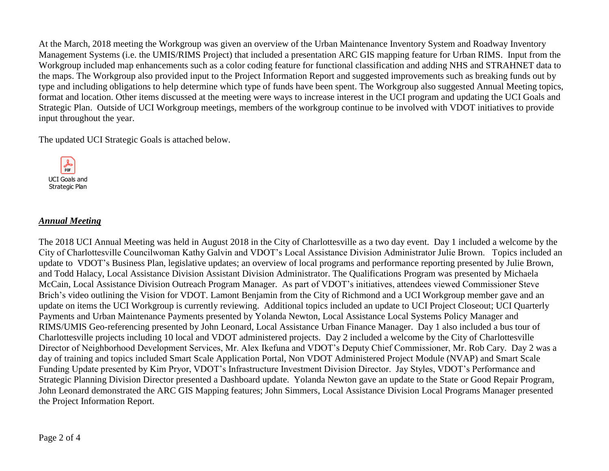At the March, 2018 meeting the Workgroup was given an overview of the Urban Maintenance Inventory System and Roadway Inventory Management Systems (i.e. the UMIS/RIMS Project) that included a presentation ARC GIS mapping feature for Urban RIMS. Input from the Workgroup included map enhancements such as a color coding feature for functional classification and adding NHS and STRAHNET data to the maps. The Workgroup also provided input to the Project Information Report and suggested improvements such as breaking funds out by type and including obligations to help determine which type of funds have been spent. The Workgroup also suggested Annual Meeting topics, format and location. Other items discussed at the meeting were ways to increase interest in the UCI program and updating the UCI Goals and Strategic Plan. Outside of UCI Workgroup meetings, members of the workgroup continue to be involved with VDOT initiatives to provide input throughout the year.

The updated UCI Strategic Goals is attached below.



#### *Annual Meeting*

The 2018 UCI Annual Meeting was held in August 2018 in the City of Charlottesville as a two day event. Day 1 included a welcome by the City of Charlottesville Councilwoman Kathy Galvin and VDOT's Local Assistance Division Administrator Julie Brown. Topics included an update to VDOT's Business Plan, legislative updates; an overview of local programs and performance reporting presented by Julie Brown, and Todd Halacy, Local Assistance Division Assistant Division Administrator. The Qualifications Program was presented by Michaela McCain, Local Assistance Division Outreach Program Manager. As part of VDOT's initiatives, attendees viewed Commissioner Steve Brich's video outlining the Vision for VDOT. Lamont Benjamin from the City of Richmond and a UCI Workgroup member gave and an update on items the UCI Workgroup is currently reviewing. Additional topics included an update to UCI Project Closeout; UCI Quarterly Payments and Urban Maintenance Payments presented by Yolanda Newton, Local Assistance Local Systems Policy Manager and RIMS/UMIS Geo-referencing presented by John Leonard, Local Assistance Urban Finance Manager. Day 1 also included a bus tour of Charlottesville projects including 10 local and VDOT administered projects. Day 2 included a welcome by the City of Charlottesville Director of Neighborhood Development Services, Mr. Alex Ikefuna and VDOT's Deputy Chief Commissioner, Mr. Rob Cary. Day 2 was a day of training and topics included Smart Scale Application Portal, Non VDOT Administered Project Module (NVAP) and Smart Scale Funding Update presented by Kim Pryor, VDOT's Infrastructure Investment Division Director. Jay Styles, VDOT's Performance and Strategic Planning Division Director presented a Dashboard update. Yolanda Newton gave an update to the State or Good Repair Program, John Leonard demonstrated the ARC GIS Mapping features; John Simmers, Local Assistance Division Local Programs Manager presented the Project Information Report.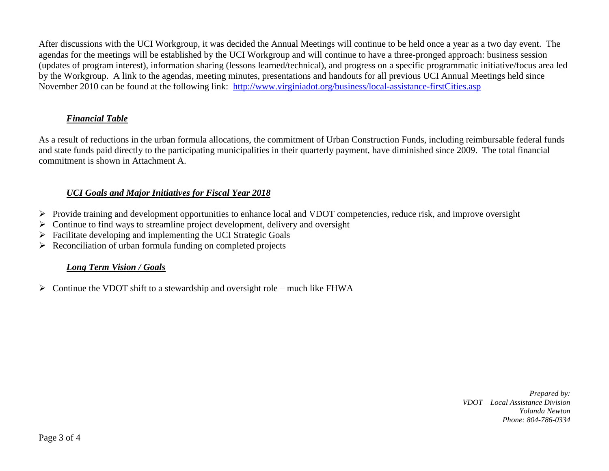After discussions with the UCI Workgroup, it was decided the Annual Meetings will continue to be held once a year as a two day event. The agendas for the meetings will be established by the UCI Workgroup and will continue to have a three-pronged approach: business session (updates of program interest), information sharing (lessons learned/technical), and progress on a specific programmatic initiative/focus area led by the Workgroup. A link to the agendas, meeting minutes, presentations and handouts for all previous UCI Annual Meetings held since November 2010 can be found at the following link: <http://www.virginiadot.org/business/local-assistance-firstCities.asp>

## *Financial Table*

As a result of reductions in the urban formula allocations, the commitment of Urban Construction Funds, including reimbursable federal funds and state funds paid directly to the participating municipalities in their quarterly payment, have diminished since 2009. The total financial commitment is shown in Attachment A.

## *UCI Goals and Major Initiatives for Fiscal Year 2018*

- Provide training and development opportunities to enhance local and VDOT competencies, reduce risk, and improve oversight
- $\triangleright$  Continue to find ways to streamline project development, delivery and oversight
- $\triangleright$  Facilitate developing and implementing the UCI Strategic Goals
- $\triangleright$  Reconciliation of urban formula funding on completed projects

# *Long Term Vision / Goals*

 $\triangleright$  Continue the VDOT shift to a stewardship and oversight role – much like FHWA

*Prepared by: VDOT – Local Assistance Division Yolanda Newton Phone: 804-786-0334*